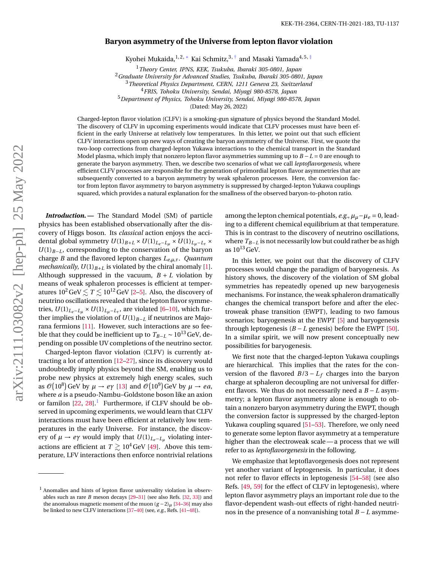## **Baryon asymmetry of the Universe from lepton flavor violation**

Kyohei Mukaida, $^{1,2,*}$  Kai Schmitz, $^{3,+}$  and Masaki Yamada $^{4,5,\pm}$ 

<sup>1</sup>*Theory Center, IPNS, KEK, Tsukuba, Ibaraki 305-0801, Japan*

<sup>2</sup>*Graduate University for Advanced Studies, Tsukuba, Ibaraki 305-0801, Japan*

<sup>3</sup>*Theoretical Physics Department, CERN, 1211 Geneva 23, Switzerland*

<sup>4</sup>*FRIS, Tohoku University, Sendai, Miyagi 980-8578, Japan*

<sup>5</sup>*Department of Physics, Tohoku University, Sendai, Miyagi 980-8578, Japan*

(Dated: May 26, 2022)

Charged-lepton flavor violation (CLFV) is a smoking-gun signature of physics beyond the Standard Model. The discovery of CLFV in upcoming experiments would indicate that CLFV processes must have been efficient in the early Universe at relatively low temperatures. In this letter, we point out that such efficient CLFV interactions open up new ways of creating the baryon asymmetry of the Universe. First, we quote the two-loop corrections from charged-lepton Yukawa interactions to the chemical transport in the Standard Model plasma, which imply that nonzero lepton flavor asymmetries summing up to *B* −*L* = 0 are enough to generate the baryon asymmetry. Then, we describe two scenarios of what we call *leptoflavorgenesis*, where efficient CLFV processes are responsible for the generation of primordial lepton flavor asymmetries that are subsequently converted to a baryon asymmetry by weak sphaleron processes. Here, the conversion factor from lepton flavor asymmetry to baryon asymmetry is suppressed by charged-lepton Yukawa couplings squared, which provides a natural explanation for the smallness of the observed baryon-to-photon ratio.

*Introduction.—* The Standard Model (SM) of particle physics has been established observationally after the discovery of Higgs boson. Its *classical* action enjoys the accidental global symmetry  $U(1)_{B+L} \times U(1)_{L_e-L_\mu} \times U(1)_{L_\mu-L_\tau} \times$ *U*(1)<sub>*B*−*L*</sub>, corresponding to the conservation of the baryon charge *B* and the flavored lepton charges *Le*,*µ*,*τ*. *Quantum mechanically*,  $U(1)_{B+L}$  is violated by the chiral anomaly [\[1\]](#page-4-3). Although suppressed in the vacuum,  $B + L$  violation by means of weak sphaleron processes is efficient at temperatures  $10^2 \text{ GeV} \lesssim T \lesssim 10^{12} \text{ GeV}$  [\[2](#page-4-4)[–5\]](#page-4-5). Also, the discovery of neutrino oscillations revealed that the lepton flavor symmetries,  $U(1)_{L_e-L_\mu} \times U(1)_{L_\mu-L_\tau}$ , are violated [\[6–](#page-4-6)[10\]](#page-4-7), which further implies the violation of  $U(1)_{B-L}$  if neutrinos are Majorana fermions [\[11\]](#page-4-8). However, such interactions are so feeble that they could be inefficient up to  $T_{B-L} \sim 10^{13}$  GeV, depending on possible UV completions of the neutrino sector.

Charged-lepton flavor violation (CLFV) is currently attracting a lot of attention [\[12–](#page-4-9)[27\]](#page-5-0), since its discovery would undoubtedly imply physics beyond the SM, enabling us to probe new physics at extremely high energy scales, such as  $\mathcal{O}(10^8)$  GeV by  $\mu \to e\gamma$  [\[13\]](#page-4-10) and  $\mathcal{O}(10^9)$  GeV by  $\mu \to e\alpha$ , where *a* is a pseudo-Nambu–Goldstone boson like an axion or familon  $[22, 28]$  $[22, 28]$  $[22, 28]$ . Furthermore, if CLFV should be observed in upcoming experiments, we would learn that CLFV interactions must have been efficient at relatively low temperatures in the early Universe. For instance, the discovery of  $\mu \to e\gamma$  would imply that  $U(1)_{L_e-L_\mu}$  violating interactions are efficient at  $T \gtrsim 10^4$  GeV [\[49\]](#page-5-2). Above this temperature, LFV interactions then enforce nontrivial relations

among the lepton chemical potentials, *e.g.*,  $\mu_{\mu} - \mu_{e} = 0$ , leading to a different chemical equilibrium at that temperature. This is in contrast to the discovery of neutrino oscillations, where *TB*−*<sup>L</sup>* is not necessarily low but could rather be as high as  $10^{13}$  GeV.

In this letter, we point out that the discovery of CLFV processes would change the paradigm of baryogenesis. As history shows, the discovery of the violation of SM global symmetries has repeatedly opened up new baryogenesis mechanisms. For instance, the weak sphaleron dramatically changes the chemical transport before and after the electroweak phase transition (EWPT), leading to two famous scenarios; baryogenesis at the EWPT [\[5\]](#page-4-5) and baryogenesis through leptogenesis  $(B - L)$  genesis) before the EWPT [\[50\]](#page-5-13). In a similar spirit, we will now present conceptually new possibilities for baryogenesis.

We first note that the charged-lepton Yukawa couplings are hierarchical. This implies that the rates for the conversion of the flavored *B*/3 − *L<sup>f</sup>* charges into the baryon charge at sphaleron decoupling are not universal for different flavors. We thus do not necessarily need a *B* − *L* asymmetry; a lepton flavor asymmetry alone is enough to obtain a nonzero baryon asymmetry during the EWPT, though the conversion factor is suppressed by the charged-lepton Yukawa coupling squared [\[51–](#page-5-14)[53\]](#page-5-15). Therefore, we only need to generate some lepton flavor asymmetry at a temperature higher than the electroweak scale— a process that we will refer to as *leptoflavorgenesis* in the following.

We emphasize that leptoflavorgenesis does not represent yet another variant of leptogenesis. In particular, it does not refer to flavor effects in leptogenesis [\[54–](#page-5-16)[58\]](#page-5-17) (see also Refs. [\[49,](#page-5-2) [59\]](#page-5-18) for the effect of CLFV in leptogenesis), where lepton flavor asymmetry plays an important role due to the flavor-dependent wash-out effects of right-handed neutrinos in the presence of a nonvanishing total *B* − *L* asymme-

<span id="page-0-0"></span><sup>1</sup> Anomalies and hints of lepton flavor universality violation in observables such as rare *B* meson decays [\[29–](#page-5-3)[31\]](#page-5-4) (see also Refs. [\[32,](#page-5-5) [33\]](#page-5-6)) and the anomalous magnetic moment of the muon  $(g-2)$ <sub>µ</sub> [\[34](#page-5-7)[–36\]](#page-5-8) may also be linked to new CLFV interactions [\[37–](#page-5-9)[40\]](#page-5-10) (see, *e.g.*, Refs. [\[41–](#page-5-11)[48\]](#page-5-12)).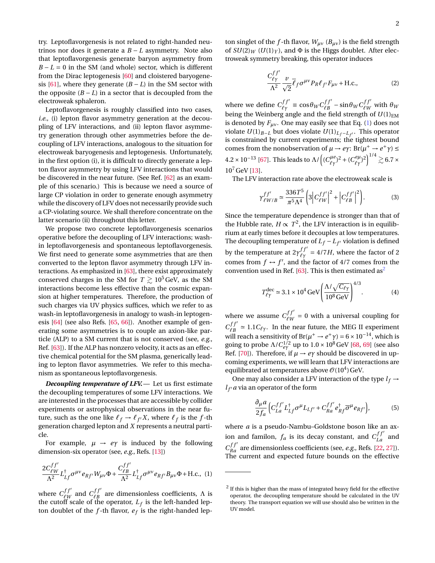try. Leptoflavorgenesis is not related to right-handed neutrinos nor does it generate a *B* − *L* asymmetry. Note also that leptoflavorgenesis generate baryon asymmetry from  $B - L = 0$  in the SM (and whole) sector, which is different from the Dirac leptogenesis [\[60\]](#page-5-19) and cloistered baryogene-sis [\[61\]](#page-5-20), where they generate  $(B - L)$  in the SM sector with the opposite  $(B - L)$  in a sector that is decoupled from the electroweak sphaleron.

Leptoflavorgenesis is roughly classified into two cases, *i.e.*, (i) lepton flavor asymmetry generation at the decoupling of LFV interactions, and (ii) lepton flavor asymmetry generation through other asymmetries before the decoupling of LFV interactions, analogous to the situation for electroweak baryogenesis and leptogenesis. Unfortunately, in the first option (i), it is difficult to directly generate a lepton flavor asymmetry by using LFV interactions that would be discovered in the near future. (See Ref. [\[62\]](#page-5-21) as an example of this scenario.) This is because we need a source of large CP violation in order to generate enough asymmetry while the discovery of LFV does not necessarily provide such a CP-violating source. We shall therefore concentrate on the latter scenario (ii) throughout this letter.

We propose two concrete leptoflavorgenesis scenarios operative before the decoupling of LFV interactions; washin leptoflavorgenesis and spontaneous leptoflavorgenesis. We first need to generate some asymmetries that are then converted to the lepton flavor asymmetry through LFV interactions. As emphasized in [\[63\]](#page-5-22), there exist approximately conserved charges in the SM for  $T \geq 10^5$  GeV, as the SM interactions become less effective than the cosmic expansion at higher temperatures. Therefore, the production of such charges via UV physics suffices, which we refer to as wash-in leptoflavorgenesis in analogy to wash-in leptogenesis [\[64\]](#page-5-23) (see also Refs. [\[65,](#page-5-24) [66\]](#page-5-25)). Another example of generating some asymmetries is to couple an axion-like particle (ALP) to a SM current that is not conserved (see, *e.g.*, Ref. [\[63\]](#page-5-22)). If the ALP has nonzero velocity, it acts as an effective chemical potential for the SM plasma, generically leading to lepton flavor asymmetries. We refer to this mechanism as spontaneous leptoflavorgenesis.

*Decoupling temperature of LFV.*— Let us first estimate the decoupling temperatures of some LFV interactions. We are interested in the processes that are accessible by collider experiments or astrophysical observations in the near future, such as the one like  $\ell_f \to \ell_{f'} X$ , where  $\ell_f$  is the *f*-th generation charged lepton and *X* represents a neutral particle.

For example,  $\mu \rightarrow e\gamma$  is induced by the following dimension-six operator (see, *e.g.*, Refs. [\[13\]](#page-4-10))

<span id="page-1-0"></span>
$$
\frac{2C_{\ell W}^{ff'}}{\Lambda^2}L_{Lf}^\dagger \sigma^{\mu\nu}e_{Rf'}W_{\mu\nu}\Phi+\frac{C_{\ell B}^{ff'}}{\Lambda^2}L_{Lf}^\dagger \sigma^{\mu\nu}e_{Rf'}B_{\mu\nu}\Phi+\textrm{H.c.},\eqno(1)
$$

where  $C_{\ell w}^{ff'}$  $\frac{df'}{fW}$  and  $\frac{df'}{fB}$  $\ell_B^{JJ}$  are dimensionless coefficients,  $\Lambda$  is the cutoff scale of the operator, *L<sup>f</sup>* is the left-handed lepton doublet of the  $f$ -th flavor,  $e_f$  is the right-handed lepton singlet of the *f*-th flavor,  $W_{\mu\nu}$  ( $B_{\mu\nu}$ ) is the field strength of  $SU(2)_W$  ( $U(1)_Y$ ), and  $\Phi$  is the Higgs doublet. After electroweak symmetry breaking, this operator induces

$$
\frac{C_{\ell\gamma}^{ff'}}{\Lambda^2} \frac{\nu}{\sqrt{2}} \overline{\ell}_f \sigma^{\mu\nu} P_R \ell_{f'} F_{\mu\nu} + \text{H.c.},\tag{2}
$$

where we define  $C_{\ell\gamma}^{ff'} \equiv \cos\theta_W C_{\ell B}^{ff'}$  $\frac{df'}{\ell B}$  – sin $\theta_W C_{\ell W}^{ff'}$  $\frac{\partial^J U}{\partial W}$  with  $\theta_W$ being the Weinberg angle and the field strength of  $U(1)_{EM}$ is denoted by  $F_{\mu\nu}$ . One may easily see that Eq. [\(1\)](#page-1-0) does not violate *U*(1)*B*−*<sup>L</sup>* but does violate *U*(1)*L<sup>f</sup>* <sup>−</sup>*L<sup>f</sup>* 0 . This operator is constrained by current experiments; the tightest bound comes from the nonobservation of  $\mu \to e\gamma$ : Br( $\mu^+ \to e^+ \gamma$ )  $\leq$  $4.2\times10^{-13}$  [\[67\]](#page-5-26). This leads to  $\Lambda/\left((C_{\ell\gamma}^{\mu e})^2+(C_{\ell\gamma}^{e\mu})^2\right)^{1/4}\gtrsim6.7\times10^{-13}$  $10^7$  GeV [\[13\]](#page-4-10).

The LFV interaction rate above the electroweak scale is

$$
\gamma_{\ell W/B}^{f f'} \simeq \frac{336 T^5}{\pi^5 \Lambda^4} \left( 3 \left| C_{\ell W}^{f f'} \right|^2 + \left| C_{\ell B}^{f f'} \right|^2 \right). \tag{3}
$$

Since the temperature dependence is stronger than that of the Hubble rate,  $H \propto T^2$ , the LFV interaction is in equilibrium at early times before it decouples at low temperatures. The decoupling temperature of  $L_f - L_{f'}$  violation is defined by the temperature at  $2\gamma \frac{f f'}{\ell \gamma} = 4/7 H$ , where the factor of 2 comes from  $f \leftrightarrow f'$ , and the factor of 4/7 comes from the convention used in Ref. [\[63\]](#page-5-22). This is then estimated as<sup>[2](#page-1-1)</sup>

$$
T_{\ell\gamma}^{\text{dec}} \simeq 3.1 \times 10^4 \,\text{GeV} \left( \frac{\Lambda/\sqrt{C_{\ell\gamma}}}{10^8 \,\text{GeV}} \right)^{4/3}.
$$
 (4)

where we assume  $C_{\ell m}^{ff'}$  $\frac{df}{dW} = 0$  with a universal coupling for  $C_{\ell R}^{ff'}$  $\ell_B^{JJ} \approx 1.1 C_{\ell\gamma}$ . In the near future, the MEG II experiment will reach a sensitivity of Br( $\mu^+ \to e^+ \gamma$ ) = 6 × 10<sup>-14</sup>, which is going to probe  $\Lambda/C_{e\gamma}^{1/2}$  up to  $1.0\times10^8\,\text{GeV}$  [\[68,](#page-5-27) [69\]](#page-5-28) (see also Ref. [\[70\]](#page-6-0)). Therefore, if  $\mu \rightarrow e\gamma$  should be discovered in upcoming experiments, we will learn that LFV interactions are equilibrated at temperatures above  $\mathscr{O}(10^4)$  GeV.

One may also consider a LFV interaction of the type  $l_f \rightarrow$  $l_{f'}$  *a* via an operator of the form

<span id="page-1-2"></span>
$$
\frac{\partial_{\mu}a}{2f_a} \Big( C_{La}^{ff'} L_{Lf}^{\dagger} \sigma^{\mu} L_{Lf'} + C_{Ra}^{ff'} e_{Rf}^{\dagger} \overline{\sigma}^{\mu} e_{Rf'} \Big), \tag{5}
$$

where *a* is a pseudo-Nambu–Goldstone boson like an axion and familon,  $f_a$  is its decay constant, and  $C_{La}^{ff'}$  and  $C_{Ra}^{ff'}$  are dimensionless coefficients (see, *e.g.*, Refs. [\[22,](#page-4-11) [27\]](#page-5-0)). The current and expected future bounds on the effective

<span id="page-1-1"></span> $2$  If this is higher than the mass of integrated heavy field for the effective operator, the decoupling temperature should be calculated in the UV theory. The transport equation we will use should also be written in the UV model.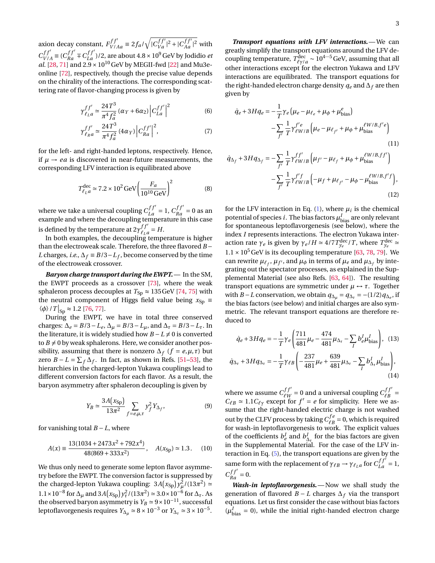axion decay constant,  $F_{V/AA}^{ff'} \equiv 2f_a/\sqrt{|C_{Va}^{ff'}|^2 + |C_{Aa}^{ff'}|^2}$  with  $C_{V}^{ff'}$  $V_{V/A}^{f f'} \equiv (C_{Ra}^{f f'} + C_{La}^{f f'})/2$ , are about 4.8 × 10<sup>9</sup> GeV by Jodidio *et al.* [\[28,](#page-5-1) [71\]](#page-6-1) and  $2.9 \times 10^{10}$  GeV by MEGII-fwd [\[22\]](#page-4-11) and Mu3eonline [\[72\]](#page-6-2), respectively, though the precise value depends on the chirality of the interactions. The corresponding scattering rate of flavor-changing process is given by

$$
\gamma_{\ell_{La}}^{f f'} \simeq \frac{24T^3}{\pi^4 f_a^2} (\alpha_Y + 6\alpha_2) |C_{La}^{f f'}|^2
$$
 (6)

$$
\gamma_{\ell_{R}a}^{f f'} \simeq \frac{24T^3}{\pi^4 f_a^2} \left(4\alpha_Y\right) \left|C_{Ra}^{f f'}\right|^2, \tag{7}
$$

for the left- and right-handed leptons, respectively. Hence, if  $\mu \rightarrow ea$  is discovered in near-future measurements, the corresponding LFV interaction is equilibrated above

$$
T_{\ell_{L}a}^{\text{dec}} \simeq 7.2 \times 10^{2} \,\text{GeV} \left( \frac{F_{a}}{10^{10} \,\text{GeV}} \right)^{2} \tag{8}
$$

where we take a universal coupling  $C_{La}^{ff'} = 1$ ,  $C_{Ra}^{ff'} = 0$  as an example and where the decoupling temperature in this case is defined by the temperature at  $2\gamma^{ff'}_{\ell,\ell}$  $\frac{f f'}{\ell_L a} = H.$ 

In both examples, the decoupling temperature is higher than the electroweak scale. Therefore, the three flavored *B* − *L* charges, *i.e.*,  $\Delta_f \equiv B/3 - L_f$ , become conserved by the time of the electroweak crossover.

*Baryon charge transport during the EWPT.*— In the SM, the EWPT proceeds as a crossover [\[73\]](#page-6-3), where the weak sphaleron process decouples at  $T_{Sp} \approx 135 \,\text{GeV}$  [\[74,](#page-6-4) [75\]](#page-6-5) with the neutral component of Higgs field value being  $x_{Sp} \equiv$  $\langle \phi \rangle / T |_{\text{Sp}} \approx 1.2$  [\[76,](#page-6-6) [77\]](#page-6-7).

During the EWPT, we have in total three conserved charges:  $\Delta_e = B/3 - L_e$ ,  $\Delta_\mu = B/3 - L_\mu$ , and  $\Delta_\tau = B/3 - L_\tau$ . In the literature, it is widely studied how  $B - L \neq 0$  is converted to  $B \neq 0$  by weak sphalerons. Here, we consider another possibility, assuming that there is nonzero  $\Delta_f$  ( $f = e, \mu, \tau$ ) but zero *B* − *L* =  $\sum_{f} \Delta_f$ . In fact, as shown in Refs. [\[51](#page-5-14)[–53\]](#page-5-15), the hierarchies in the charged-lepton Yukawa couplings lead to different conversion factors for each flavor. As a result, the baryon asymmetry after sphaleron decoupling is given by

<span id="page-2-0"></span>
$$
Y_B \simeq \frac{3A(x_{\rm Sp})}{13\pi^2} \sum_{f=e,\mu,\tau} y_f^2 Y_{\Delta_f},\tag{9}
$$

for vanishing total *B* −*L*, where

$$
A(x) \equiv \frac{13(1034 + 2473x^2 + 792x^4)}{48(869 + 333x^2)}, \quad A(x_{\text{Sp}}) \simeq 1.3. \tag{10}
$$

We thus only need to generate some lepton flavor asymmetry before the EWPT. The conversion factor is suppressed by the charged-lepton Yukawa coupling:  $3A(x_{\text{Sp}})y_{\mu}^2/(13\pi^2) \simeq$ 1.1 × 10<sup>-8</sup> for Δ<sub>μ</sub> and 3*A*(*x*<sub>Sp</sub>) $y^2_τ$ /(13π<sup>2</sup>) ≈ 3.0 × 10<sup>-6</sup> for Δ<sub>τ</sub>. As the observed baryon asymmetry is  $Y_B \approx 9 \times 10^{-11}$ , successful leptoflavorgenesis requires  $Y_{\Delta\mu} \simeq 8 \times 10^{-3}$  or  $Y_{\Delta\tau} \simeq 3 \times 10^{-5}$ .

*Transport equations with LFV interactions.*— We can greatly simplify the transport equations around the LFV decoupling temperature,  $T_{\ell\gamma/a}^{\rm dec} \sim 10^{4\cdots 5}$  GeV, assuming that all other interactions except for the electron Yukawa and LFV interactions are equilibrated. The transport equations for the right-handed electron charge density  $q_e$  and  $\Delta_f$  are then given by

$$
\dot{q}_e + 3Hq_e = -\frac{1}{T}\gamma_e \left(\mu_e - \mu_{\ell_e} + \mu_{\phi} + \mu_{\text{bias}}^e\right)
$$

$$
-\sum_{f'} \frac{1}{T} \gamma_{\ell W/B}^{f'e} \left(\mu_e - \mu_{\ell_{f'}} + \mu_{\phi} + \mu_{\text{bias}}^{\ell W/B, f'e}\right)
$$
(11)

$$
\dot{q}_{\Delta_f} + 3Hq_{\Delta_f} = -\sum_{f'} \frac{1}{T} \gamma_{\ell W/B}^{ff'} \left(\mu_{f'} - \mu_{\ell_f} + \mu_{\phi} + \mu_{\text{bias}}^{\ell W/B, ff'}\right) \n- \sum_{f'} \frac{1}{T} \gamma_{\ell W/B}^{f'} \left(-\mu_f + \mu_{\ell_{f'}} - \mu_{\phi} - \mu_{\text{bias}}^{\ell W/B, f'f}\right),
$$
\n(12)

for the LFV interaction in Eq.  $(1)$ , where  $\mu_i$  is the chemical potential of species  $i$ . The bias factors  $\mu_{\rm bias}^I$  are only relevant for spontaneous leptoflavorgenesis (see below), where the index *I* represents interactions. The electron Yukawa interaction rate  $\gamma_e$  is given by  $\gamma_e/H \simeq 4/7 T_{y_e}^{\text{dec}}/T$ , where  $T_{y_e}^{\text{dec}} \simeq$  $1.1 \times 10^5$  GeV is its decoupling temperature [\[63,](#page-5-22) [78,](#page-6-8) [79\]](#page-6-9). We can rewrite  $\mu_{\ell_f}, \mu_{f'},$  and  $\mu_{\phi}$  in terms of  $\mu_e$  and  $\mu_{\Delta_f}$  by integrating out the spectator processes, as explained in the Supplemental Material (see also Refs. [\[63,](#page-5-22) [64\]](#page-5-23)). The resulting transport equations are symmetric under  $\mu \leftrightarrow \tau$ . Together with *B* − *L* conservation, we obtain  $q_{\Delta_\mu} = q_{\Delta_\tau} = -(1/2) q_{\Delta_e}$ , if the bias factors (see below) and initial charges are also symmetric. The relevant transport equations are therefore reduced to

<span id="page-2-2"></span><span id="page-2-1"></span>
$$
\dot{q}_e + 3Hq_e = -\frac{1}{T}\gamma_e \left( \frac{711}{481}\mu_e - \frac{474}{481}\mu_{\Delta_\tau} - \sum_I b_e^I \mu_{\text{bias}}^I \right), \quad (13)
$$
\n
$$
\dot{q}_{\Delta_\tau} + 3Hq_{\Delta_\tau} = -\frac{1}{T}\gamma_{\ell B} \left( -\frac{237}{481}\mu_e + \frac{639}{481}\mu_{\Delta_\tau} - \sum_I b_{\Delta_\tau}^I \mu_{\text{bias}}^I \right), \quad (14)
$$

where we assume  $C_{\ell m}^{ff'}$  $f_f^{ff'} = 0$  and a universal coupling  $C_{\ell B}^{ff'}$  $\frac{df'}{\ell B} =$  $C_{\ell B} \simeq 1.1 C_{\ell \gamma}$  except for  $f' = e$  for simplicity. Here we assume that the right-handed electric charge is not washed out by the CLFV process by taking  $C_{\ell\,R}^{fe}$  $\ell_B^{f e} = 0$ , which is required for wash-in leptoflavorgenesis to work. The explicit values of the coefficients  $b_e^I$  and  $b_{\Delta_{\tau}}^I$  for the bias factors are given in the Supplemental Material. For the case of the LFV interaction in Eq. [\(5\)](#page-1-2), the transport equations are given by the same form with the replacement of  $\gamma_{\ell B} \rightarrow \gamma_{\ell_{L}a}$  for  $C_{La}^{ff'} = 1$ ,  $C_{Ra}^{ff'} = 0.$ 

*Wash-in leptoflavorgenesis.*— Now we shall study the generation of flavored  $B - L$  charges  $\Delta_f$  via the transport equations. Let us first consider the case without bias factors  $(\mu_{bias}^I = 0)$ , while the initial right-handed electron charge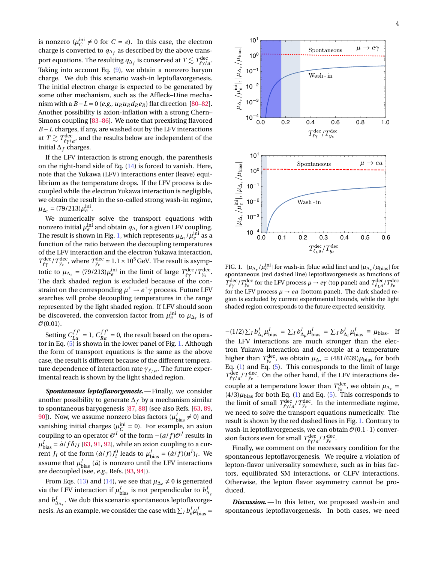is nonzero ( $\mu_C^{\text{ini}} \neq 0$  for  $C = e$ ). In this case, the electron charge is converted to  $q_{\Delta_f}$  as described by the above transport equations. The resulting  $q_{\Delta_f}$  is conserved at  $T \lesssim T_{\ell\gamma/a}^{\text{dec}}.$ Taking into account Eq.  $(9)$ , we obtain a nonzero baryon charge. We dub this scenario wash-in leptoflavorgenesis. The initial electron charge is expected to be generated by some other mechanism, such as the Affleck–Dine mechanism with a *B* − *L* = 0 (*e.g.*,  $u_R u_R d_R e_R$ ) flat direction [\[80](#page-6-10)[–82\]](#page-6-11). Another possibility is axion-inflation with a strong Chern– Simons coupling [\[83](#page-6-12)[–86\]](#page-6-13). We note that preexisting flavored *B* − *L* charges, if any, are washed out by the LFV interactions at  $T \gtrsim T_{\ell\gamma/a}^{\rm dec}$ , and the results below are independent of the initial ∆*<sup>f</sup>* charges.

If the LFV interaction is strong enough, the parenthesis on the right-hand side of Eq. [\(14\)](#page-2-1) is forced to vanish. Here, note that the Yukawa (LFV) interactions enter (leave) equilibrium as the temperature drops. If the LFV process is decoupled while the electron Yukawa interaction is negligible, we obtain the result in the so-called strong wash-in regime,  $\mu_{\Delta_{\tau}} = (79/213)\mu_e^{\text{ini}}.$ 

We numerically solve the transport equations with nonzero initial  $\mu_e^{\text{ini}}$  and obtain  $q_{\Delta_{\tau}}$  for a given LFV coupling. The result is shown in Fig. [1,](#page-3-0) which represents  $\mu_{\Delta_{\tau}}/\mu_{e}^{\text{ini}}$  as a function of the ratio between the decoupling temperatures of the LFV interaction and the electron Yukawa interaction,  $T_{\ell\gamma}^{\text{dec}}$  /  $T_{y_e}^{\text{dec}}$ , where  $T_{y_e}^{\text{dec}} \approx 1.1 \times 10^5 \,\text{GeV}$ . The result is asymptotic to  $\mu_{\Delta_{\tau}} = (79/213)\mu_{e}^{\text{ini}}$  in the limit of large  $T_{\ell\gamma}^{\text{dec}}/T_{y_e}^{\text{dec}}$ . The dark shaded region is excluded because of the constraint on the corresponding  $\mu^+ \rightarrow e^+ \gamma$  process. Future LFV searches will probe decoupling temperatures in the range represented by the light shaded region. If LFV should soon be discovered, the conversion factor from  $\mu_e^{\text{ini}}$  to  $\mu_{\Delta_\tau}$  is of  $\mathcal{O}(0.01)$ .

Setting  $C_{La}^{ff'} = 1$ ,  $C_{Ra}^{ff'} = 0$ , the result based on the operator in Eq. [\(5\)](#page-1-2) is shown in the lower panel of Fig. [1.](#page-3-0) Although the form of transport equations is the same as the above case, the result is different because of the different temperature dependence of interaction rate *γ*<sub>*ll*</sub> *a*. The future experimental reach is shown by the light shaded region.

*Spontaneous leptoflavorgenesis.*— Finally, we consider another possibility to generate ∆*<sup>f</sup>* by a mechanism similar to spontaneous baryogenesis [\[87,](#page-6-14) [88\]](#page-6-15) (see also Refs. [\[63,](#page-5-22) [89,](#page-6-16) [90\]](#page-6-17)). Now, we assume nonzero bias factors ( $\mu_{\text{bias}}^I \neq 0$ ) and vanishing initial charges ( $\mu_C^{\text{ini}} = 0$ ). For example, an axion coupling to an operator  $\mathcal{O}^I$  of the form  $-(a/f)\mathcal{O}^J$  results in  $\mu_{\text{bias}}^I = \dot{a}/f\delta_{IJ}$  [\[63,](#page-5-22) [91,](#page-6-18) [92\]](#page-6-19), while an axion coupling to a current *J<sub>i</sub>* of the form  $(\dot{a}/f)J_i^0$  leads to  $\mu_{bias}^I = (\dot{a}/f)(n^I)_i$ . We assume that  $\mu_{\rm bias}^I$  (*a*̀) is nonzero until the LFV interactions are decoupled (see, *e.g.*, Refs. [\[93,](#page-6-20) [94\]](#page-6-21)).

From Eqs. [\(13\)](#page-2-2) and [\(14\)](#page-2-1), we see that  $\mu_{\Delta_e} \neq 0$  is generated via the LFV interaction if  $\mu_{\text{bias}}^I$  is not perpendicular to  $b_{\Delta_e}^I$ and  $b_{\Delta_{\Delta_{\tau}}}^I$ . We dub this scenario spontaneous leptoflavorgenesis. As an example, we consider the case with  $\sum_{I} b_{e}^{I} \mu_{\text{bias}}^{I} =$ 



<span id="page-3-0"></span>FIG. 1.  $|\mu_{\Delta_{\tau}}/\mu_{e}^{\text{ini}}|$  for wash-in (blue solid line) and  $|\mu_{\Delta_{\tau}}/\mu_{\text{bias}}|$  for spontaneous (red dashed line) leptoflavorgenesis as functions of  $T_{\ell\gamma}^{\text{dec}}/T_{y_e}^{\text{dec}}$  for the LFV process  $\mu \to e\gamma$  (top panel) and  $T_{\ell_L a}^{\text{dec}}/T_{y_e}^{\text{dec}}$ for the LFV process  $\mu \rightarrow ea$  (bottom panel). The dark shaded region is excluded by current experimental bounds, while the light shaded region corresponds to the future expected sensitivity.

 $-(1/2)\sum_{I} b_{\Delta_{e}}^{I} \mu_{bias}^{I} = \sum_{I} b_{\Delta_{\mu}}^{I} \mu_{bias}^{I} = \sum_{I} b_{\Delta_{\tau}}^{I} \mu_{bias}^{I} \equiv \mu_{bias}$ . If the LFV interactions are much stronger than the electron Yukawa interaction and decouple at a temperature higher than  $T^{\text{dec}}_{y_e}$ , we obtain  $\mu_{\Delta_\tau} = (481/639)\mu_{\text{bias}}$  for both Eq. [\(1\)](#page-1-0) and Eq. [\(5\)](#page-1-2). This corresponds to the limit of large  $T_{\ell\gamma/a}^{\text{dec}}/T_{\gamma_e}^{\text{dec}}$ . On the other hand, if the LFV interactions decouple at a temperature lower than  $T_{y_e}^{\text{dec}}$ , we obtain  $\mu_{\Delta_{\tau}} =$  $(4/3)\mu_{bias}$  for both Eq. [\(1\)](#page-1-0) and Eq. [\(5\)](#page-1-2). This corresponds to the limit of small  $T_{\ell\gamma/a}^{\text{dec}}/T_{y_e}^{\text{dec}}$ . In the intermediate regime, we need to solve the transport equations numerically. The result is shown by the red dashed lines in Fig. [1.](#page-3-0) Contrary to wash-in leptoflavorgenesis, we can obtain  $\mathcal{O}(0.1 - 1)$  conversion factors even for small  $T^{\text{dec}}_{\ell \gamma /a} / T^{\text{dec}}_{y_e}.$ 

Finally, we comment on the necessary condition for the spontaneous leptoflavorgenesis. We require a violation of lepton-flavor universality somewhere, such as in bias factors, equilibrated SM interactions, or CLFV interactions. Otherwise, the lepton flavor asymmetry cannot be produced.

*Discussion.*— In this letter, we proposed wash-in and spontaneous leptoflavorgenesis. In both cases, we need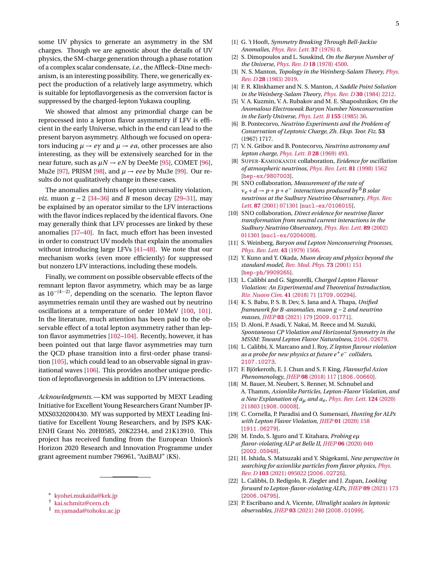We showed that almost any primordial charge can be reprocessed into a lepton flavor asymmetry if LFV is efficient in the early Universe, which in the end can lead to the present baryon asymmetry. Although we focused on operators inducing  $\mu \rightarrow e\gamma$  and  $\mu \rightarrow ea$ , other processes are also interesting, as they will be extensively searched for in the near future, such as  $\mu N \rightarrow eN$  by DeeMe [\[95\]](#page-6-22), COMET [\[96\]](#page-6-23), Mu2e [\[97\]](#page-6-24), PRISM [\[98\]](#page-6-25), and  $\mu \rightarrow eee$  by Mu3e [\[99\]](#page-6-26). Our results do not qualitatively change in these cases.

The anomalies and hints of lepton universality violation, *viz.* muon *g* − 2 [\[34–](#page-5-7)[36\]](#page-5-8) and *B* meson decay [\[29](#page-5-3)[–31\]](#page-5-4), may be explained by an operator similar to the LFV interactions with the flavor indices replaced by the identical flavors. One may generally think that LFV processes are linked by these anomalies [\[37–](#page-5-9)[40\]](#page-5-10). In fact, much effort has been invested in order to construct UV models that explain the anomalies without introducing large LFVs [\[41](#page-5-11)[–48\]](#page-5-12). We note that our mechanism works (even more efficiently) for suppressed but nonzero LFV interactions, including these models.

Finally, we comment on possible observable effects of the remnant lepton flavor asymmetry, which may be as large as 10−(4···2), depending on the scenario. The lepton flavor asymmetries remain until they are washed out by neutrino oscillations at a temperature of order 10MeV [\[100,](#page-6-27) [101\]](#page-6-28). In the literature, much attention has been paid to the observable effect of a total lepton asymmetry rather than lepton flavor asymmetries [\[102–](#page-6-29)[104\]](#page-6-30). Recently, however, it has been pointed out that large flavor asymmetries may turn the QCD phase transition into a first-order phase transition [\[105\]](#page-6-31), which could lead to an observable signal in gravitational waves [\[106\]](#page-6-32). This provides another unique prediction of leptoflavorgenesis in addition to LFV interactions.

*Acknowledgments.*— KM was supported by MEXT Leading Initiative for Excellent Young Researchers Grant Number JP-MXS0320200430. MY was supported by MEXT Leading Initiative for Excellent Young Researchers, and by JSPS KAK-ENHI Grant No. 20H0585, 20K22344, and 21K13910. This project has received funding from the European Union's Horizon 2020 Research and Innovation Programme under grant agreement number 796961, "AxiBAU" (KS).

- <span id="page-4-0"></span><sup>∗</sup> [kyohei.mukaida@kek.jp](mailto:kyohei.mukaida@kek.jp)
- <span id="page-4-1"></span>† [kai.schmitz@cern.ch](mailto:kai.schmitz@cern.ch)
- <span id="page-4-2"></span>‡ [m.yamada@tohoku.ac.jp](mailto:m.yamada@tohoku.ac.jp)
- <span id="page-4-3"></span>[1] G. 't Hooft, *Symmetry Breaking Through Bell-Jackiw Anomalies*, *[Phys. Rev. Lett.](https://doi.org/10.1103/PhysRevLett.37.8)* **37** (1976) 8.
- <span id="page-4-4"></span>[2] S. Dimopoulos and L. Susskind, *On the Baryon Number of the Universe*, *Phys. Rev. D* **18** [\(1978\) 4500.](https://doi.org/10.1103/PhysRevD.18.4500)
- [3] N. S. Manton, *Topology in the Weinberg-Salam Theory*, *[Phys.](https://doi.org/10.1103/PhysRevD.28.2019) Rev. D* **28** [\(1983\) 2019.](https://doi.org/10.1103/PhysRevD.28.2019)
- [4] F. R. Klinkhamer and N. S. Manton, *A Saddle Point Solution in the Weinberg-Salam Theory*, *[Phys. Rev. D](https://doi.org/10.1103/PhysRevD.30.2212)* **30** (1984) 2212.
- <span id="page-4-5"></span>[5] V. A. Kuzmin, V. A. Rubakov and M. E. Shaposhnikov, *On the Anomalous Electroweak Baryon Number Nonconservation in the Early Universe*, *[Phys. Lett. B](https://doi.org/10.1016/0370-2693(85)91028-7)* **155** (1985) 36.
- <span id="page-4-6"></span>[6] B. Pontecorvo, *Neutrino Experiments and the Problem of Conservation of Leptonic Charge*, *Zh. Eksp. Teor. Fiz.* **53** (1967) 1717.
- [7] V. N. Gribov and B. Pontecorvo, *Neutrino astronomy and lepton charge*, *[Phys. Lett. B](https://doi.org/10.1016/0370-2693(69)90525-5)* **28** (1969) 493.
- [8] SUPER-KAMIOKANDE collaboration, *Evidence for oscillation of atmospheric neutrinos*, *[Phys. Rev. Lett.](https://doi.org/10.1103/PhysRevLett.81.1562)* **81** (1998) 1562 [[hep-ex/9807003](https://arxiv.org/abs/hep-ex/9807003)].
- [9] SNO collaboration, *Measurement of the rate of ν<sup>e</sup>* +*d* → *p* + *p* +*e* <sup>−</sup> *interactions produced by* <sup>8</sup>*B solar neutrinos at the Sudbury Neutrino Observatory*, *[Phys. Rev.](https://doi.org/10.1103/PhysRevLett.87.071301) Lett.* **87** [\(2001\) 071301](https://doi.org/10.1103/PhysRevLett.87.071301) [[nucl-ex/0106015](https://arxiv.org/abs/nucl-ex/0106015)].
- <span id="page-4-7"></span>[10] SNO collaboration, *Direct evidence for neutrino flavor transformation from neutral current interactions in the Sudbury Neutrino Observatory*, *[Phys. Rev. Lett.](https://doi.org/10.1103/PhysRevLett.89.011301)* **89** (2002) [011301](https://doi.org/10.1103/PhysRevLett.89.011301) [[nucl-ex/0204008](https://arxiv.org/abs/nucl-ex/0204008)].
- <span id="page-4-8"></span>[11] S. Weinberg, *Baryon and Lepton Nonconserving Processes*, *[Phys. Rev. Lett.](https://doi.org/10.1103/PhysRevLett.43.1566)* **43** (1979) 1566.
- <span id="page-4-9"></span>[12] Y. Kuno and Y. Okada, *Muon decay and physics beyond the standard model*, *[Rev. Mod. Phys.](https://doi.org/10.1103/RevModPhys.73.151)* **73** (2001) 151 [[hep-ph/9909265](https://arxiv.org/abs/hep-ph/9909265)].
- <span id="page-4-10"></span>[13] L. Calibbi and G. Signorelli, *Charged Lepton Flavour Violation: An Experimental and Theoretical Introduction*, *[Riv. Nuovo Cim.](https://doi.org/10.1393/ncr/i2018-10144-0)* **41** (2018) 71 [[1709.00294](https://arxiv.org/abs/1709.00294)].
- [14] K. S. Babu, P. S. B. Dev, S. Jana and A. Thapa, *Unified framework for B -anomalies, muon g* −2 *and neutrino masses*, *JHEP* **03** [\(2021\) 179](https://doi.org/10.1007/JHEP03(2021)179) [[2009.01771](https://arxiv.org/abs/2009.01771)].
- [15] D. Aloni, P. Asadi, Y. Nakai, M. Reece and M. Suzuki, *Spontaneous CP Violation and Horizontal Symmetry in the MSSM: Toward Lepton Flavor Naturalness*, [2104.02679](https://arxiv.org/abs/2104.02679).
- [16] L. Calibbi, X. Marcano and J. Roy, *Z lepton flavour violation as a probe for new physics at future e*+*<sup>e</sup>* <sup>−</sup> *colliders*, [2107.10273](https://arxiv.org/abs/2107.10273).
- [17] F. Björkeroth, E. J. Chun and S. F. King, *Flavourful Axion Phenomenology*, *JHEP* **08** [\(2018\) 117](https://doi.org/10.1007/JHEP08(2018)117) [[1806.00660](https://arxiv.org/abs/1806.00660)].
- [18] M. Bauer, M. Neubert, S. Renner, M. Schnubel and A. Thamm, *Axionlike Particles, Lepton-Flavor Violation, and a New Explanation of aµ and ae* , *[Phys. Rev. Lett.](https://doi.org/10.1103/PhysRevLett.124.211803)* **124** (2020) [211803](https://doi.org/10.1103/PhysRevLett.124.211803) [[1908.00008](https://arxiv.org/abs/1908.00008)].
- [19] C. Cornella, P. Paradisi and O. Sumensari, *Hunting for ALPs with Lepton Flavor Violation*, *JHEP* **01** [\(2020\) 158](https://doi.org/10.1007/JHEP01(2020)158) [[1911.06279](https://arxiv.org/abs/1911.06279)].
- [20] M. Endo, S. Iguro and T. Kitahara, *Probing eµ flavor-violating ALP at Belle II*, *JHEP* **06** [\(2020\) 040](https://doi.org/10.1007/JHEP06(2020)040) [[2002.05948](https://arxiv.org/abs/2002.05948)].
- [21] H. Ishida, S. Matsuzaki and Y. Shigekami, *New perspective in searching for axionlike particles from flavor physics*, *[Phys.](https://doi.org/10.1103/PhysRevD.103.095022) Rev. D* **103** [\(2021\) 095022](https://doi.org/10.1103/PhysRevD.103.095022) [[2006.02725](https://arxiv.org/abs/2006.02725)].
- <span id="page-4-11"></span>[22] L. Calibbi, D. Redigolo, R. Ziegler and J. Zupan, *Looking forward to Lepton-flavor-violating ALPs*, *JHEP* **09** [\(2021\) 173](https://doi.org/10.1007/JHEP09(2021)173) [[2006.04795](https://arxiv.org/abs/2006.04795)].
- [23] P. Escribano and A. Vicente, *Ultralight scalars in leptonic observables*, *JHEP* **03** [\(2021\) 240](https://doi.org/10.1007/JHEP03(2021)240) [[2008.01099](https://arxiv.org/abs/2008.01099)].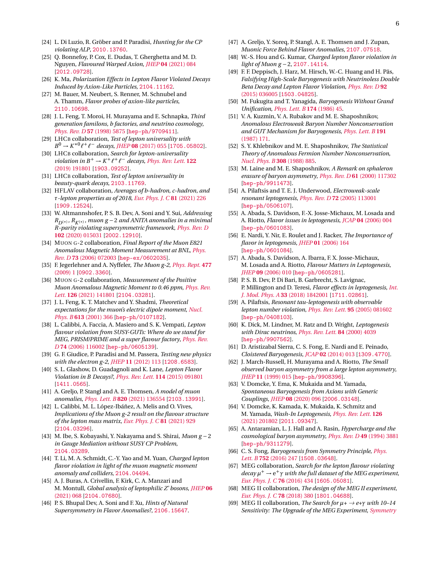- [24] L. Di Luzio, R. Gröber and P. Paradisi, *Hunting for the CP violating ALP*, [2010.13760](https://arxiv.org/abs/2010.13760).
- [25] Q. Bonnefoy, P. Cox, E. Dudas, T. Gherghetta and M. D. Nguyen, *Flavoured Warped Axion*, *JHEP* **04** [\(2021\) 084](https://doi.org/10.1007/JHEP04(2021)084) [[2012.09728](https://arxiv.org/abs/2012.09728)].
- [26] K. Ma, *Polarization Effects in Lepton Flavor Violated Decays Induced by Axion-Like Particles*, [2104.11162](https://arxiv.org/abs/2104.11162).
- <span id="page-5-0"></span>[27] M. Bauer, M. Neubert, S. Renner, M. Schnubel and A. Thamm, *Flavor probes of axion-like particles*, [2110.10698](https://arxiv.org/abs/2110.10698).
- <span id="page-5-1"></span>[28] J. L. Feng, T. Moroi, H. Murayama and E. Schnapka, *Third generation familons, b factories, and neutrino cosmology*, *[Phys. Rev. D](https://doi.org/10.1103/PhysRevD.57.5875)* **57** (1998) 5875 [[hep-ph/9709411](https://arxiv.org/abs/hep-ph/9709411)].
- <span id="page-5-3"></span>[29] LHCB collaboration, *Test of lepton universality with*  $B^0 \rightarrow K^{*0} \ell^+ \ell^-$  *decays, JHEP* **08** [\(2017\) 055](https://doi.org/10.1007/JHEP08(2017)055) [[1705.05802](https://arxiv.org/abs/1705.05802)].
- [30] LHCB collaboration, *Search for lepton-universality violation in*  $B^+ \to K^+ \ell^+ \ell^-$  *decays, [Phys. Rev. Lett.](https://doi.org/10.1103/PhysRevLett.122.191801)* **122** [\(2019\) 191801](https://doi.org/10.1103/PhysRevLett.122.191801) [[1903.09252](https://arxiv.org/abs/1903.09252)].
- <span id="page-5-4"></span>[31] LHCB collaboration, *Test of lepton universality in beauty-quark decays*, [2103.11769](https://arxiv.org/abs/2103.11769).
- <span id="page-5-5"></span>[32] HFLAV collaboration, *Averages of b-hadron, c-hadron, and τ-lepton properties as of 2018*, *[Eur. Phys. J. C](https://doi.org/10.1140/epjc/s10052-020-8156-7)* **81** (2021) 226 [[1909.12524](https://arxiv.org/abs/1909.12524)].
- <span id="page-5-6"></span>[33] W. Altmannshofer, P. S. B. Dev, A. Soni and Y. Sui, *Addressing*  $R_{D(*)}$ ,  $R_{K(*)}$ , muon g − 2 *and ANITA anomalies in a minimal R-parity violating supersymmetric framework*, *[Phys. Rev. D](https://doi.org/10.1103/PhysRevD.102.015031)* **102** [\(2020\) 015031](https://doi.org/10.1103/PhysRevD.102.015031) [[2002.12910](https://arxiv.org/abs/2002.12910)].
- <span id="page-5-7"></span>[34] MUON G-2 collaboration, *Final Report of the Muon E821 Anomalous Magnetic Moment Measurement at BNL*, *[Phys.](https://doi.org/10.1103/PhysRevD.73.072003) Rev. D* **73** [\(2006\) 072003](https://doi.org/10.1103/PhysRevD.73.072003) [[hep-ex/0602035](https://arxiv.org/abs/hep-ex/0602035)].
- [35] F. Jegerlehner and A. Nyffeler, *The Muon g-2*, *[Phys. Rept.](https://doi.org/10.1016/j.physrep.2009.04.003)* **477** [\(2009\) 1](https://doi.org/10.1016/j.physrep.2009.04.003) [[0902.3360](https://arxiv.org/abs/0902.3360)].
- <span id="page-5-8"></span>[36] MUON G-2 collaboration, *Measurement of the Positive Muon Anomalous Magnetic Moment to 0.46 ppm*, *[Phys. Rev.](https://doi.org/10.1103/PhysRevLett.126.141801) Lett.* **126** [\(2021\) 141801](https://doi.org/10.1103/PhysRevLett.126.141801) [[2104.03281](https://arxiv.org/abs/2104.03281)].
- <span id="page-5-9"></span>[37] J. L. Feng, K. T. Matchev and Y. Shadmi, *Theoretical expectations for the muon's electric dipole moment*, *[Nucl.](https://doi.org/10.1016/S0550-3213(01)00383-2) Phys. B* **613** [\(2001\) 366](https://doi.org/10.1016/S0550-3213(01)00383-2) [[hep-ph/0107182](https://arxiv.org/abs/hep-ph/0107182)].
- [38] L. Calibbi, A. Faccia, A. Masiero and S. K. Vempati, *Lepton flavour violation from SUSY-GUTs: Where do we stand for MEG, PRISM/PRIME and a super flavour factory*, *[Phys. Rev.](https://doi.org/10.1103/PhysRevD.74.116002) D* **74** [\(2006\) 116002](https://doi.org/10.1103/PhysRevD.74.116002) [[hep-ph/0605139](https://arxiv.org/abs/hep-ph/0605139)].
- [39] G. F. Giudice, P. Paradisi and M. Passera, *Testing new physics with the electron g-2*, *JHEP* **11** [\(2012\) 113](https://doi.org/10.1007/JHEP11(2012)113) [[1208.6583](https://arxiv.org/abs/1208.6583)].
- <span id="page-5-10"></span>[40] S. L. Glashow, D. Guadagnoli and K. Lane, *Lepton Flavor Violation in B Decays?*, *[Phys. Rev. Lett.](https://doi.org/10.1103/PhysRevLett.114.091801)* **114** (2015) 091801 [[1411.0565](https://arxiv.org/abs/1411.0565)].
- <span id="page-5-11"></span>[41] A. Greljo, P. Stangl and A. E. Thomsen, *A model of muon anomalies*, *Phys. Lett. B* **820** [\(2021\) 136554](https://doi.org/10.1016/j.physletb.2021.136554) [[2103.13991](https://arxiv.org/abs/2103.13991)].
- [42] L. Calibbi, M. L. López-Ibáñez, A. Melis and O. Vives, *Implications of the Muon g-2 result on the flavour structure of the lepton mass matrix*, *[Eur. Phys. J. C](https://doi.org/10.1140/epjc/s10052-021-09741-1)* **81** (2021) 929 [[2104.03296](https://arxiv.org/abs/2104.03296)].
- [43] M. Ibe, S. Kobayashi, Y. Nakayama and S. Shirai, *Muon g* −2 *in Gauge Mediation without SUSY CP Problem*, [2104.03289](https://arxiv.org/abs/2104.03289).
- [44] T. Li, M. A. Schmidt, C.-Y. Yao and M. Yuan, *Charged lepton flavor violation in light of the muon magnetic moment anomaly and colliders*, [2104.04494](https://arxiv.org/abs/2104.04494).
- [45] A. J. Buras, A. Crivellin, F. Kirk, C. A. Manzari and M. Montull, *Global analysis of leptophilic Z' bosons*, *[JHEP](https://doi.org/10.1007/JHEP06(2021)068)* **06** [\(2021\) 068](https://doi.org/10.1007/JHEP06(2021)068) [[2104.07680](https://arxiv.org/abs/2104.07680)].
- [46] P. S. Bhupal Dev, A. Soni and F. Xu, *Hints of Natural Supersymmetry in Flavor Anomalies?*, [2106.15647](https://arxiv.org/abs/2106.15647).
- [47] A. Greljo, Y. Soreq, P. Stangl, A. E. Thomsen and J. Zupan, *Muonic Force Behind Flavor Anomalies*, [2107.07518](https://arxiv.org/abs/2107.07518).
- <span id="page-5-12"></span>[48] W.-S. Hou and G. Kumar, *Charged lepton flavor violation in light of Muon g* −2, [2107.14114](https://arxiv.org/abs/2107.14114).
- <span id="page-5-2"></span>[49] F. F. Deppisch, J. Harz, M. Hirsch, W.-C. Huang and H. Päs, *Falsifying High-Scale Baryogenesis with Neutrinoless Double Beta Decay and Lepton Flavor Violation*, *[Phys. Rev. D](https://doi.org/10.1103/PhysRevD.92.036005)* **92** [\(2015\) 036005](https://doi.org/10.1103/PhysRevD.92.036005) [[1503.04825](https://arxiv.org/abs/1503.04825)].
- <span id="page-5-13"></span>[50] M. Fukugita and T. Yanagida, *Baryogenesis Without Grand Unification*, *[Phys. Lett. B](https://doi.org/10.1016/0370-2693(86)91126-3)* **174** (1986) 45.
- <span id="page-5-14"></span>[51] V. A. Kuzmin, V. A. Rubakov and M. E. Shaposhnikov, *Anomalous Electroweak Baryon Number Nonconservation and GUT Mechanism for Baryogenesis*, *[Phys. Lett. B](https://doi.org/10.1016/0370-2693(87)91340-2)* **191** [\(1987\) 171.](https://doi.org/10.1016/0370-2693(87)91340-2)
- [52] S. Y. Khlebnikov and M. E. Shaposhnikov, *The Statistical Theory of Anomalous Fermion Number Nonconservation*, *[Nucl. Phys. B](https://doi.org/10.1016/0550-3213(88)90133-2)* **308** (1988) 885.
- <span id="page-5-15"></span>[53] M. Laine and M. E. Shaposhnikov, *A Remark on sphaleron erasure of baryon asymmetry*, *Phys. Rev. D* **61** [\(2000\) 117302](https://doi.org/10.1103/PhysRevD.61.117302) [[hep-ph/9911473](https://arxiv.org/abs/hep-ph/9911473)].
- <span id="page-5-16"></span>[54] A. Pilaftsis and T. E. J. Underwood, *Electroweak-scale resonant leptogenesis*, *Phys. Rev. D* **72** [\(2005\) 113001](https://doi.org/10.1103/PhysRevD.72.113001) [[hep-ph/0506107](https://arxiv.org/abs/hep-ph/0506107)].
- [55] A. Abada, S. Davidson, F.-X. Josse-Michaux, M. Losada and A. Riotto, *Flavor issues in leptogenesis*, *JCAP* **04** [\(2006\) 004](https://doi.org/10.1088/1475-7516/2006/04/004) [[hep-ph/0601083](https://arxiv.org/abs/hep-ph/0601083)].
- [56] E. Nardi, Y. Nir, E. Roulet and J. Racker, *The Importance of flavor in leptogenesis*, *JHEP* **01** [\(2006\) 164](https://doi.org/10.1088/1126-6708/2006/01/164) [[hep-ph/0601084](https://arxiv.org/abs/hep-ph/0601084)].
- [57] A. Abada, S. Davidson, A. Ibarra, F. X. Josse-Michaux, M. Losada and A. Riotto, *Flavour Matters in Leptogenesis*, *JHEP* **09** [\(2006\) 010](https://doi.org/10.1088/1126-6708/2006/09/010) [[hep-ph/0605281](https://arxiv.org/abs/hep-ph/0605281)].
- <span id="page-5-17"></span>[58] P. S. B. Dev, P. Di Bari, B. Garbrecht, S. Lavignac, P. Millington and D. Teresi, *Flavor effects in leptogenesis*, *[Int.](https://doi.org/10.1142/S0217751X18420010) J. Mod. Phys. A* **33** [\(2018\) 1842001](https://doi.org/10.1142/S0217751X18420010) [[1711.02861](https://arxiv.org/abs/1711.02861)].
- <span id="page-5-18"></span>[59] A. Pilaftsis, *Resonant tau-leptogenesis with observable lepton number violation*, *[Phys. Rev. Lett.](https://doi.org/10.1103/PhysRevLett.95.081602)* **95** (2005) 081602 [[hep-ph/0408103](https://arxiv.org/abs/hep-ph/0408103)].
- <span id="page-5-19"></span>[60] K. Dick, M. Lindner, M. Ratz and D. Wright, *Leptogenesis with Dirac neutrinos*, *[Phys. Rev. Lett.](https://doi.org/10.1103/PhysRevLett.84.4039)* **84** (2000) 4039 [[hep-ph/9907562](https://arxiv.org/abs/hep-ph/9907562)].
- <span id="page-5-20"></span>[61] D. Aristizabal Sierra, C. S. Fong, E. Nardi and E. Peinado, *Cloistered Baryogenesis*, *JCAP* **02** [\(2014\) 013](https://doi.org/10.1088/1475-7516/2014/02/013) [[1309.4770](https://arxiv.org/abs/1309.4770)].
- <span id="page-5-21"></span>[62] J. March-Russell, H. Murayama and A. Riotto, *The Small observed baryon asymmetry from a large lepton asymmetry*, *JHEP* **11** [\(1999\) 015](https://doi.org/10.1088/1126-6708/1999/11/015) [[hep-ph/9908396](https://arxiv.org/abs/hep-ph/9908396)].
- <span id="page-5-22"></span>[63] V. Domcke, Y. Ema, K. Mukaida and M. Yamada, *Spontaneous Baryogenesis from Axions with Generic Couplings*, *JHEP* **08** [\(2020\) 096](https://doi.org/10.1007/JHEP08(2020)096) [[2006.03148](https://arxiv.org/abs/2006.03148)].
- <span id="page-5-23"></span>[64] V. Domcke, K. Kamada, K. Mukaida, K. Schmitz and M. Yamada, *Wash-In Leptogenesis*, *[Phys. Rev. Lett.](https://doi.org/10.1103/PhysRevLett.126.201802)* **126** [\(2021\) 201802](https://doi.org/10.1103/PhysRevLett.126.201802) [[2011.09347](https://arxiv.org/abs/2011.09347)].
- <span id="page-5-24"></span>[65] A. Antaramian, L. J. Hall and A. Rasin, *Hypercharge and the cosmological baryon asymmetry*, *[Phys. Rev. D](https://doi.org/10.1103/PhysRevD.49.3881)* **49** (1994) 3881 [[hep-ph/9311279](https://arxiv.org/abs/hep-ph/9311279)].
- <span id="page-5-25"></span>[66] C. S. Fong, *Baryogenesis from Symmetry Principle*, *[Phys.](https://doi.org/10.1016/j.physletb.2015.11.055) Lett. B* **752** [\(2016\) 247](https://doi.org/10.1016/j.physletb.2015.11.055) [[1508.03648](https://arxiv.org/abs/1508.03648)].
- <span id="page-5-26"></span>[67] MEG collaboration, *Search for the lepton flavour violating decay µ* <sup>+</sup> <sup>→</sup> <sup>e</sup> <sup>+</sup>*<sup>γ</sup> with the full dataset of the MEG experiment*, *[Eur. Phys. J. C](https://doi.org/10.1140/epjc/s10052-016-4271-x)* **76** (2016) 434 [[1605.05081](https://arxiv.org/abs/1605.05081)].
- <span id="page-5-27"></span>[68] MEG II collaboration, *The design of the MEG II experiment*, *[Eur. Phys. J. C](https://doi.org/10.1140/epjc/s10052-018-5845-6)* **78** (2018) 380 [[1801.04688](https://arxiv.org/abs/1801.04688)].
- <span id="page-5-28"></span>[69] MEG II collaboration, *The Search for*  $\mu$ +  $\rightarrow$  *e*+ $\gamma$  *with 10–14 Sensitivity: The Upgrade of the MEG Experiment*, *[Symmetry](https://doi.org/10.3390/sym13091591)*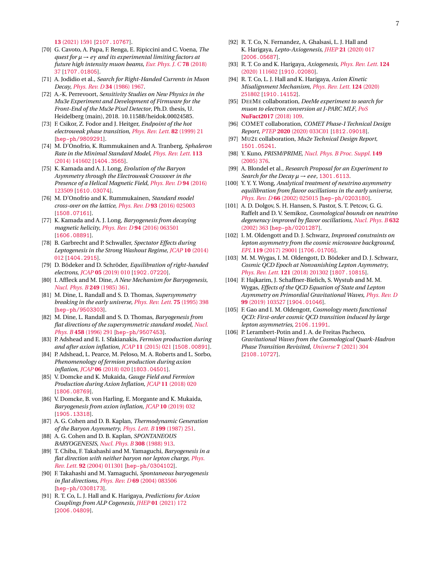**13** [\(2021\) 1591](https://doi.org/10.3390/sym13091591) [[2107.10767](https://arxiv.org/abs/2107.10767)].

- <span id="page-6-0"></span>[70] G. Cavoto, A. Papa, F. Renga, E. Ripiccini and C. Voena, *The quest for µ* → *eγ and its experimental limiting factors at future high intensity muon beams*, *[Eur. Phys. J. C](https://doi.org/10.1140/epjc/s10052-017-5444-y)* **78** (2018) [37](https://doi.org/10.1140/epjc/s10052-017-5444-y) [[1707.01805](https://arxiv.org/abs/1707.01805)].
- <span id="page-6-1"></span>[71] A. Jodidio et al., *Search for Right-Handed Currents in Muon Decay*, *[Phys. Rev. D](https://doi.org/10.1103/PhysRevD.34.1967)* **34** (1986) 1967.
- <span id="page-6-2"></span>[72] A.-K. Perrevoort, *Sensitivity Studies on New Physics in the Mu3e Experiment and Development of Firmware for the Front-End of the Mu3e Pixel Detector*, Ph.D. thesis, U. Heidelberg (main), 2018. 10.11588/heidok.00024585.
- <span id="page-6-3"></span>[73] F. Csikor, Z. Fodor and J. Heitger, *Endpoint of the hot electroweak phase transition*, *[Phys. Rev. Lett.](https://doi.org/10.1103/PhysRevLett.82.21)* **82** (1999) 21 [[hep-ph/9809291](https://arxiv.org/abs/hep-ph/9809291)].
- <span id="page-6-4"></span>[74] M. D'Onofrio, K. Rummukainen and A. Tranberg, *Sphaleron Rate in the Minimal Standard Model*, *[Phys. Rev. Lett.](https://doi.org/10.1103/PhysRevLett.113.141602)* **113** [\(2014\) 141602](https://doi.org/10.1103/PhysRevLett.113.141602) [[1404.3565](https://arxiv.org/abs/1404.3565)].
- <span id="page-6-5"></span>[75] K. Kamada and A. J. Long, *Evolution of the Baryon Asymmetry through the Electroweak Crossover in the Presence of a Helical Magnetic Field*, *[Phys. Rev. D](https://doi.org/10.1103/PhysRevD.94.123509)* **94** (2016) [123509](https://doi.org/10.1103/PhysRevD.94.123509) [[1610.03074](https://arxiv.org/abs/1610.03074)].
- <span id="page-6-6"></span>[76] M. D'Onofrio and K. Rummukainen, *Standard model cross-over on the lattice*, *Phys. Rev. D* **93** [\(2016\) 025003](https://doi.org/10.1103/PhysRevD.93.025003) [[1508.07161](https://arxiv.org/abs/1508.07161)].
- <span id="page-6-7"></span>[77] K. Kamada and A. J. Long, *Baryogenesis from decaying magnetic helicity*, *Phys. Rev. D* **94** [\(2016\) 063501](https://doi.org/10.1103/PhysRevD.94.063501) [[1606.08891](https://arxiv.org/abs/1606.08891)].
- <span id="page-6-8"></span>[78] B. Garbrecht and P. Schwaller, *Spectator Effects during Leptogenesis in the Strong Washout Regime*, *JCAP* **10** [\(2014\)](https://doi.org/10.1088/1475-7516/2014/10/012) [012](https://doi.org/10.1088/1475-7516/2014/10/012) [[1404.2915](https://arxiv.org/abs/1404.2915)].
- <span id="page-6-9"></span>[79] D. Bödeker and D. Schröder, *Equilibration of right-handed electrons*, *JCAP* **05** [\(2019\) 010](https://doi.org/10.1088/1475-7516/2019/05/010) [[1902.07220](https://arxiv.org/abs/1902.07220)].
- <span id="page-6-10"></span>[80] I. Affleck and M. Dine, *A New Mechanism for Baryogenesis*, *[Nucl. Phys. B](https://doi.org/10.1016/0550-3213(85)90021-5)* **249** (1985) 361.
- [81] M. Dine, L. Randall and S. D. Thomas, *Supersymmetry breaking in the early universe*, *[Phys. Rev. Lett.](https://doi.org/10.1103/PhysRevLett.75.398)* **75** (1995) 398 [[hep-ph/9503303](https://arxiv.org/abs/hep-ph/9503303)].
- <span id="page-6-11"></span>[82] M. Dine, L. Randall and S. D. Thomas, *Baryogenesis from flat directions of the supersymmetric standard model*, *[Nucl.](https://doi.org/10.1016/0550-3213(95)00538-2) Phys. B* **458** [\(1996\) 291](https://doi.org/10.1016/0550-3213(95)00538-2) [[hep-ph/9507453](https://arxiv.org/abs/hep-ph/9507453)].
- <span id="page-6-12"></span>[83] P. Adshead and E. I. Sfakianakis, *Fermion production during and after axion inflation*, *JCAP* **11** [\(2015\) 021](https://doi.org/10.1088/1475-7516/2015/11/021) [[1508.00891](https://arxiv.org/abs/1508.00891)].
- [84] P. Adshead, L. Pearce, M. Peloso, M. A. Roberts and L. Sorbo, *Phenomenology of fermion production during axion inflation*, *JCAP* **06** [\(2018\) 020](https://doi.org/10.1088/1475-7516/2018/06/020) [[1803.04501](https://arxiv.org/abs/1803.04501)].
- [85] V. Domcke and K. Mukaida, *Gauge Field and Fermion Production during Axion Inflation*, *JCAP* **11** [\(2018\) 020](https://doi.org/10.1088/1475-7516/2018/11/020) [[1806.08769](https://arxiv.org/abs/1806.08769)].
- <span id="page-6-13"></span>[86] V. Domcke, B. von Harling, E. Morgante and K. Mukaida, *Baryogenesis from axion inflation*, *JCAP* **10** [\(2019\) 032](https://doi.org/10.1088/1475-7516/2019/10/032) [[1905.13318](https://arxiv.org/abs/1905.13318)].
- <span id="page-6-14"></span>[87] A. G. Cohen and D. B. Kaplan, *Thermodynamic Generation of the Baryon Asymmetry*, *[Phys. Lett. B](https://doi.org/10.1016/0370-2693(87)91369-4)* **199** (1987) 251.
- <span id="page-6-15"></span>[88] A. G. Cohen and D. B. Kaplan, *SPONTANEOUS BARYOGENESIS*, *[Nucl. Phys. B](https://doi.org/10.1016/0550-3213(88)90134-4)* **308** (1988) 913.
- <span id="page-6-16"></span>[89] T. Chiba, F. Takahashi and M. Yamaguchi, *Baryogenesis in a flat direction with neither baryon nor lepton charge*, *[Phys.](https://doi.org/10.1103/PhysRevLett.92.011301) Rev. Lett.* **92** [\(2004\) 011301](https://doi.org/10.1103/PhysRevLett.92.011301) [[hep-ph/0304102](https://arxiv.org/abs/hep-ph/0304102)].
- <span id="page-6-17"></span>[90] F. Takahashi and M. Yamaguchi, *Spontaneous baryogenesis in flat directions*, *Phys. Rev. D* **69** [\(2004\) 083506](https://doi.org/10.1103/PhysRevD.69.083506) [[hep-ph/0308173](https://arxiv.org/abs/hep-ph/0308173)].
- <span id="page-6-18"></span>[91] R. T. Co, L. J. Hall and K. Harigaya, *Predictions for Axion Couplings from ALP Cogenesis*, *JHEP* **01** [\(2021\) 172](https://doi.org/10.1007/JHEP01(2021)172) [[2006.04809](https://arxiv.org/abs/2006.04809)].
- <span id="page-6-19"></span>[92] R. T. Co, N. Fernandez, A. Ghalsasi, L. J. Hall and K. Harigaya, *Lepto-Axiogenesis*, *JHEP* **21** [\(2020\) 017](https://doi.org/10.1007/JHEP03(2021)017) [[2006.05687](https://arxiv.org/abs/2006.05687)].
- <span id="page-6-20"></span>[93] R. T. Co and K. Harigaya, *Axiogenesis*, *[Phys. Rev. Lett.](https://doi.org/10.1103/PhysRevLett.124.111602)* **124** [\(2020\) 111602](https://doi.org/10.1103/PhysRevLett.124.111602) [[1910.02080](https://arxiv.org/abs/1910.02080)].
- <span id="page-6-21"></span>[94] R. T. Co, L. J. Hall and K. Harigaya, *Axion Kinetic Misalignment Mechanism*, *[Phys. Rev. Lett.](https://doi.org/10.1103/PhysRevLett.124.251802)* **124** (2020) [251802](https://doi.org/10.1103/PhysRevLett.124.251802) [[1910.14152](https://arxiv.org/abs/1910.14152)].
- <span id="page-6-22"></span>[95] DEEME collaboration, *DeeMe experiment to search for muon to electron conversion at J-PARC MLF*, *[PoS](https://doi.org/10.22323/1.295.0109)* **[NuFact2017](https://doi.org/10.22323/1.295.0109)** (2018) 109.
- <span id="page-6-23"></span>[96] COMET collaboration, *COMET Phase-I Technical Design Report*, *PTEP* **2020** [\(2020\) 033C01](https://doi.org/10.1093/ptep/ptz125) [[1812.09018](https://arxiv.org/abs/1812.09018)].
- <span id="page-6-24"></span>[97] MU2E collaboration, *Mu2e Technical Design Report*, [1501.05241](https://arxiv.org/abs/1501.05241).
- <span id="page-6-25"></span>[98] Y. Kuno, *PRISM/PRIME*, *[Nucl. Phys. B Proc. Suppl.](https://doi.org/10.1016/j.nuclphysbps.2005.05.073)* **149** [\(2005\) 376.](https://doi.org/10.1016/j.nuclphysbps.2005.05.073)
- <span id="page-6-26"></span>[99] A. Blondel et al., *Research Proposal for an Experiment to Search for the Decay*  $\mu \rightarrow eee$ , [1301.6113](https://arxiv.org/abs/1301.6113).
- <span id="page-6-27"></span>[100] Y. Y. Y. Wong, *Analytical treatment of neutrino asymmetry equilibration from flavor oscillations in the early universe*, *Phys. Rev. D* **66** [\(2002\) 025015](https://doi.org/10.1103/PhysRevD.66.025015) [[hep-ph/0203180](https://arxiv.org/abs/hep-ph/0203180)].
- <span id="page-6-28"></span>[101] A. D. Dolgov, S. H. Hansen, S. Pastor, S. T. Petcov, G. G. Raffelt and D. V. Semikoz, *Cosmological bounds on neutrino degeneracy improved by flavor oscillations*, *[Nucl. Phys. B](https://doi.org/10.1016/S0550-3213(02)00274-2)* **632** [\(2002\) 363](https://doi.org/10.1016/S0550-3213(02)00274-2) [[hep-ph/0201287](https://arxiv.org/abs/hep-ph/0201287)].
- <span id="page-6-29"></span>[102] I. M. Oldengott and D. J. Schwarz, *Improved constraints on lepton asymmetry from the cosmic microwave background*, *EPL* **119** [\(2017\) 29001](https://doi.org/10.1209/0295-5075/119/29001) [[1706.01705](https://arxiv.org/abs/1706.01705)].
- [103] M. M. Wygas, I. M. Oldengott, D. Bödeker and D. J. Schwarz, *Cosmic QCD Epoch at Nonvanishing Lepton Asymmetry*, *[Phys. Rev. Lett.](https://doi.org/10.1103/PhysRevLett.121.201302)* **121** (2018) 201302 [[1807.10815](https://arxiv.org/abs/1807.10815)].
- <span id="page-6-30"></span>[104] F. Hajkarim, J. Schaffner-Bielich, S. Wystub and M. M. Wygas, *Effects of the QCD Equation of State and Lepton Asymmetry on Primordial Gravitational Waves*, *[Phys. Rev. D](https://doi.org/10.1103/PhysRevD.99.103527)* **99** [\(2019\) 103527](https://doi.org/10.1103/PhysRevD.99.103527) [[1904.01046](https://arxiv.org/abs/1904.01046)].
- <span id="page-6-31"></span>[105] F. Gao and I. M. Oldengott, *Cosmology meets functional QCD: First-order cosmic QCD transition induced by large lepton asymmetries*, [2106.11991](https://arxiv.org/abs/2106.11991).
- <span id="page-6-32"></span>[106] P. Lerambert-Potin and J. A. de Freitas Pacheco, *Gravitational Waves from the Cosmological Quark-Hadron Phase Transition Revisited*, *Universe* **7** [\(2021\) 304](https://doi.org/10.3390/universe7080304) [[2108.10727](https://arxiv.org/abs/2108.10727)].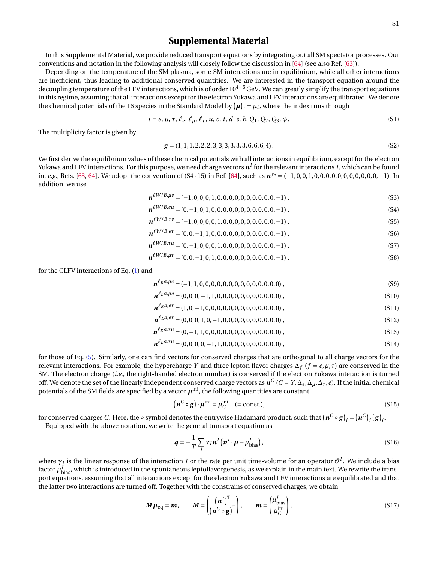## **Supplemental Material**

In this Supplemental Material, we provide reduced transport equations by integrating out all SM spectator processes. Our conventions and notation in the following analysis will closely follow the discussion in [\[64\]](#page-5-23) (see also Ref. [\[63\]](#page-5-22)).

Depending on the temperature of the SM plasma, some SM interactions are in equilibrium, while all other interactions are inefficient, thus leading to additional conserved quantities. We are interested in the transport equation around the decoupling temperature of the LFV interactions, which is of order  $10^{4...5}$  GeV. We can greatly simplify the transport equations in this regime, assuming that all interactions except for the electron Yukawa and LFV interactions are equilibrated. We denote the chemical potentials of the 16 species in the Standard Model by  $(\mu)_i = \mu_i$ , where the index runs through

$$
i = e, \mu, \tau, \ell_e, \ell_\mu, \ell_\tau, u, c, t, d, s, b, Q_1, Q_2, Q_3, \phi.
$$
 (S1)

The multiplicity factor is given by

$$
\mathbf{g} = (1, 1, 1, 2, 2, 2, 3, 3, 3, 3, 3, 3, 6, 6, 6, 4). \tag{S2}
$$

We first derive the equilibrium values of these chemical potentials with all interactions in equilibrium, except for the electron Yukawa and LFV interactions. For this purpose, we need charge vectors  $\pmb{n}^I$  for the relevant interactions *I*, which can be found in, *e.g.*, Refs. [\[63,](#page-5-22) [64\]](#page-5-23). We adopt the convention of (S4 - 15) in Ref. [\[64\]](#page-5-23), such as  $n^{y_e} = (-1, 0, 0, 1, 0, 0, 0, 0, 0, 0, 0, 0, 0, 0, -1)$ . In addition, we use

$$
\boldsymbol{n}^{\ell W/B,\mu e} = (-1,0,0,0,1,0,0,0,0,0,0,0,0,0,0,-1) ,
$$
\n(S3)

$$
\boldsymbol{n}^{\ell W/B, e\mu} = (0, -1, 0, 1, 0, 0, 0, 0, 0, 0, 0, 0, 0, 0, 0, -1),
$$
\n(S4)

$$
\boldsymbol{n}^{\ell W/B,\tau e} = (-1,0,0,0,0,1,0,0,0,0,0,0,0,0,0,-1) ,
$$
\n(S5)

$$
\boldsymbol{n}^{\ell W/B, e\tau} = (0, 0, -1, 1, 0, 0, 0, 0, 0, 0, 0, 0, 0, 0, 0, -1) ,
$$
\n(S6)

$$
\boldsymbol{n}^{\ell W/B,\tau\mu} = (0,-1,0,0,0,1,0,0,0,0,0,0,0,0,0,-1) ,
$$
 (S7)

$$
\boldsymbol{n}^{\ell W/B,\mu\tau} = (0,0,-1,0,1,0,0,0,0,0,0,0,0,0,0,-1) ,
$$
\n(S8)

for the CLFV interactions of Eq. [\(1\)](#page-1-0) and

$$
\boldsymbol{n}^{\ell_R a,\mu e} = (-1,1,0,0,0,0,0,0,0,0,0,0,0,0,0,0), \qquad (S9)
$$

$$
\boldsymbol{n}^{\ell_L a, \mu e} = (0, 0, 0, -1, 1, 0, 0, 0, 0, 0, 0, 0, 0, 0, 0, 0), \qquad (S10)
$$

$$
\boldsymbol{n}^{\ell_R a, e\tau} = (1, 0, -1, 0, 0, 0, 0, 0, 0, 0, 0, 0, 0, 0, 0, 0), \qquad (S11)
$$

$$
\boldsymbol{n}^{\ell_L a, e\tau} = (0, 0, 0, 1, 0, -1, 0, 0, 0, 0, 0, 0, 0, 0, 0, 0), \qquad (S12)
$$

$$
\boldsymbol{n}^{\ell_R a, \tau \mu} = (0, -1, 1, 0, 0, 0, 0, 0, 0, 0, 0, 0, 0, 0, 0, 0), \qquad (S13)
$$

$$
\boldsymbol{n}^{\ell_L a, \tau \mu} = (0, 0, 0, 0, -1, 1, 0, 0, 0, 0, 0, 0, 0, 0, 0, 0), \qquad (S14)
$$

for those of Eq. [\(5\)](#page-1-2). Similarly, one can find vectors for conserved charges that are orthogonal to all charge vectors for the relevant interactions. For example, the hypercharge *Y* and three lepton flavor charges  $\Delta_f$  ( $f = e, \mu, \tau$ ) are conserved in the SM. The electron charge (*i.e.,* the right-handed electron number) is conserved if the electron Yukawa interaction is turned off. We denote the set of the linearly independent conserved charge vectors as  $\bm{n}^C$  ( $C=Y, \Delta_e, \Delta_\mu, \Delta_\tau, e$ ). If the initial chemical potentials of the SM fields are specified by a vector  $\pmb{\mu}^{\text{ini}}$ , the following quantities are constant,

<span id="page-7-0"></span>
$$
\left(\boldsymbol{n}^C \circ \boldsymbol{g}\right) \cdot \boldsymbol{\mu}^{\text{ini}} = \mu_C^{\text{ini}} \quad (= \text{const.}),\tag{S15}
$$

for conserved charges *C*. Here, the ∘ symbol denotes the entrywise Hadamard product, such that  $(\bm{n}^C \circ \bm{g})_i = (\bm{n}^C)_i (\bm{g})_i$ .

Equipped with the above notation, we write the general transport equation as

$$
\dot{\boldsymbol{q}} = -\frac{1}{T} \sum_{I} \gamma_{I} \boldsymbol{n}^{I} \left( \boldsymbol{n}^{I} \cdot \boldsymbol{\mu} - \mu_{\text{bias}}^{I} \right), \tag{S16}
$$

where  $\gamma_I$  is the linear response of the interaction  $I$  or the rate per unit time-volume for an operator  $\mathscr{O}^I.$  We include a bias factor  $\mu_{\rm bias}^I$ , which is introduced in the spontaneous leptoflavorgenesis, as we explain in the main text. We rewrite the transport equations, assuming that all interactions except for the electron Yukawa and LFV interactions are equilibrated and that the latter two interactions are turned off. Together with the constrains of conserved charges, we obtain

<span id="page-7-1"></span>
$$
\underline{\mathbf{M}}\boldsymbol{\mu}_{\text{eq}} = \boldsymbol{m}, \qquad \underline{\mathbf{M}} = \begin{pmatrix} (\boldsymbol{n}^{I})^{\text{T}} \\ (\boldsymbol{n}^{C} \circ \mathbf{g})^{\text{T}} \end{pmatrix}, \qquad \boldsymbol{m} = \begin{pmatrix} \mu_{\text{bias}}^{I} \\ \mu_{\text{C}}^{\text{ini}} \end{pmatrix}, \tag{S17}
$$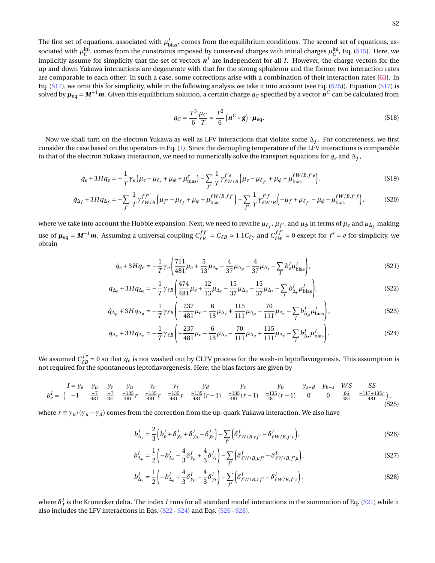The first set of equations, associated with  $\mu_{bias}^I$ , comes from the equilibrium conditions. The second set of equations, associated with  $\mu_C^{\text{ini}}$ , comes from the constraints imposed by conserved charges with initial charges  $\mu_C^{\text{ini}}$ , Eq. [\(S15\)](#page-7-0). Here, we implicitly assume for simplicity that the set of vectors  $\pmb{n}^I$  are independent for all *I*. However, the charge vectors for the up and down Yukawa interactions are degenerate with that for the strong sphaleron and the former two interaction rates are comparable to each other. In such a case, some corrections arise with a combination of their interaction rates [\[63\]](#page-5-22). In Eq.  $(S17)$ , we omit this for simplicity, while in the following analysis we take it into account (see Eq.  $(S25)$ ). Equation  $(S17)$  is solved by  $\mu_{eq} = \underline{M}^{-1}m$ . Given this equilibrium solution, a certain charge  $q_C$  specified by a vector  $\vec{n}^C$  can be calculated from

<span id="page-8-2"></span><span id="page-8-1"></span>
$$
q_C = \frac{T^3}{6} \frac{\mu_C}{T} = \frac{T^2}{6} \left( \mathbf{n}^C \circ \mathbf{g} \right) \cdot \mu_{\text{eq}}.
$$
 (S18)

Now we shall turn on the electron Yukawa as well as LFV interactions that violate some ∆*<sup>f</sup>* . For concreteness, we first consider the case based on the operators in Eq. [\(1\)](#page-1-0). Since the decoupling temperature of the LFV interactions is comparable to that of the electron Yukawa interaction, we need to numerically solve the transport equations for  $q_e$  and  $\Delta_f$ ,

$$
\dot{q}_e + 3Hq_e = -\frac{1}{T}\gamma_e \left(\mu_e - \mu_{\ell_e} + \mu_{\phi} + \mu_{bias}^e\right) - \sum_{f'} \frac{1}{T} \gamma_{\ell W/B}^{f'e} \left(\mu_e - \mu_{\ell_{f'}} + \mu_{\phi} + \mu_{bias}^{\ell W/B, f'e}\right),\tag{S19}
$$

$$
\dot{q}_{\Delta_f} + 3Hq_{\Delta_f} = -\sum_{f'} \frac{1}{T} \gamma_{\ell W/B}^{f'} \left( \mu_{f'} - \mu_{\ell_f} + \mu_{\phi} + \mu_{\text{bias}}^{\ell W/B, f'} \right) - \sum_{f'} \frac{1}{T} \gamma_{\ell W/B}^{f'} \left( -\mu_f + \mu_{\ell_{f'}} - \mu_{\phi} - \mu_{\text{bias}}^{\ell W/B, f'f} \right),\tag{S20}
$$

where we take into account the Hubble expansion. Next, we need to rewrite  $\mu_{\ell_f},\mu_{f'},$  and  $\mu_\phi$  in terms of  $\mu_e$  and  $\mu_{\Delta_f}$  making use of  $\mu_{\text{eq}} = \underline{M}^{-1}m$ . Assuming a universal coupling  $C_{\ell R}^{ff'}$  $\frac{df'}{\ell B} = C_{\ell B} \approx 1.1 C_{\ell \gamma}$  and  $\frac{df'}{\ell W}$  $\frac{df'}{dw} = 0$  except for  $f' = e$  for simplicity, we obtain

$$
\dot{q}_e + 3Hq_e = -\frac{1}{T}\gamma_e \left(\frac{711}{481}\mu_e + \frac{5}{13}\mu_{\Delta_e} - \frac{4}{37}\mu_{\Delta_\mu} - \frac{4}{37}\mu_{\Delta_\tau} - \sum_I b^I_e \mu^I_{bias}\right),\tag{S21}
$$

$$
\dot{q}_{\Delta_e} + 3Hq_{\Delta_e} = -\frac{1}{T}\gamma_{\ell B} \left( \frac{474}{481} \mu_e + \frac{12}{13} \mu_{\Delta_e} - \frac{15}{37} \mu_{\Delta_\mu} - \frac{15}{37} \mu_{\Delta_\tau} - \sum_I b_{\Delta_e}^I \mu_{bias}^I \right),\tag{S22}
$$

$$
\dot{q}_{\Delta_{\mu}} + 3Hq_{\Delta_{\mu}} = -\frac{1}{T}\gamma_{\ell B} \left( -\frac{237}{481}\mu_{e} - \frac{6}{13}\mu_{\Delta_{e}} + \frac{115}{111}\mu_{\Delta_{\mu}} - \frac{70}{111}\mu_{\Delta_{\tau}} - \sum_{I} b_{\Delta_{\mu}}^{I} \mu_{bias}^{I} \right),
$$
\n(S23)

$$
\dot{q}_{\Delta_{\tau}} + 3Hq_{\Delta_{\tau}} = -\frac{1}{T}\gamma_{\ell B} \left( -\frac{237}{481}\mu_{e} - \frac{6}{13}\mu_{\Delta_{e}} - \frac{70}{111}\mu_{\Delta_{\mu}} + \frac{115}{111}\mu_{\Delta_{\tau}} - \sum_{I} b_{\Delta_{\tau}}^{I} \mu_{bias}^{I} \right). \tag{S24}
$$

We assumed  $C_{\ell R}^{fe}$  $\frac{f^e}{f^B} = 0$  so that  $q_e$  is not washed out by CLFV process for the wash-in leptoflavorgenesis. This assumption is not required for the spontaneous leptoflavorgenesis. Here, the bias factors are given by

<span id="page-8-0"></span>
$$
I = y_e \quad y_\mu \quad y_\tau \quad y_u \quad y_c \quad y_t \quad y_d \quad y_s \quad y_b \quad y_{s-d} \quad y_{b-s} \quad WS \quad SS \quad b_e = \begin{pmatrix} -1 & \frac{-7}{481} & \frac{-7}{481} & \frac{-135}{481}r & \frac{-135}{481}r & \frac{-135}{481}r & \frac{-135}{481}r & \frac{-135}{481}(r-1) & \frac{-135}{481}(r-1) & \frac{-135}{481}(r-1) & 0 & 0 & \frac{66}{481} & \frac{-117+135r}{481} \end{pmatrix},
$$
\n(S25)

where  $r \equiv \gamma_u/(\gamma_u + \gamma_d)$  comes from the correction from the up-quark Yukawa interaction. We also have

<span id="page-8-4"></span><span id="page-8-3"></span>
$$
b_{\Delta_e}^I = \frac{2}{3} \left( b_e^I + \delta_{y_e}^I + \delta_{y_\mu}^I + \delta_{y_\tau}^I \right) - \sum_{f'} \left( \delta_{\ell W/B, ef'}^I - \delta_{\ell W/B, f'e}^I \right),\tag{S26}
$$

$$
b_{\Delta_{\mu}}^{I} = \frac{1}{2} \left( -b_{\Delta_{e}}^{I} - \frac{4}{3} \delta_{y_{\mu}}^{I} + \frac{4}{3} \delta_{y_{\tau}}^{I} \right) - \sum_{f'} \left( \delta_{\ell W/B,\mu f'}^{I} - \delta_{\ell W/B,f'\mu}^{I} \right), \tag{S27}
$$

<span id="page-8-5"></span>
$$
b_{\Delta_{\tau}}^{I} = \frac{1}{2} \left( -b_{\Delta_{e}}^{I} + \frac{4}{3} \delta_{y_{\mu}}^{I} - \frac{4}{3} \delta_{y_{\tau}}^{I} \right) - \sum_{f'} \left( \delta_{\ell W/B,\tau f'}^{I} - \delta_{\ell W/B,f'\tau}^{I} \right),
$$
\n(S28)

where  $\delta^I_f$  is the Kronecker delta. The index  $I$  runs for all standard model interactions in the summation of Eq. [\(S21\)](#page-8-1) while it also includes the LFV interactions in Eqs. [\(S22](#page-8-2) - [S24\)](#page-8-3) and Eqs. [\(S26](#page-8-4) - [S28\)](#page-8-5).